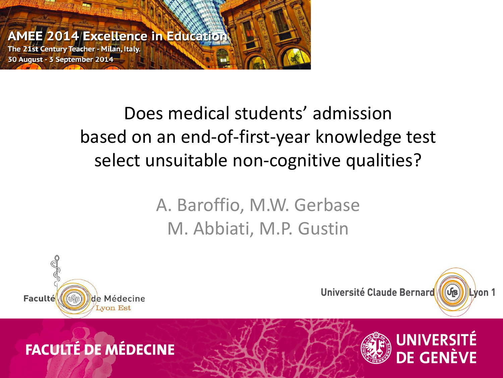

### Does medical students' admission based on an end-of-first-year knowledge test select unsuitable non-cognitive qualities?

#### A. Baroffio, M.W. Gerbase M. Abbiati, M.P. Gustin





DE GENÈVE

#### **FACULTÉ DE MÉDECINE**

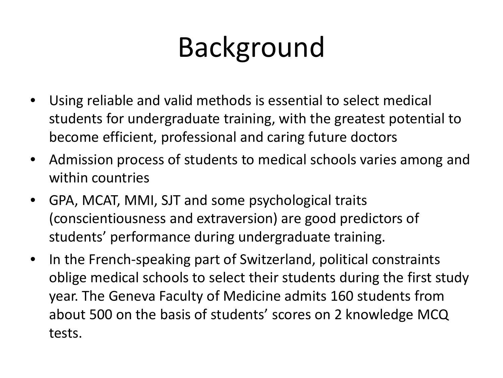# Background

- Using reliable and valid methods is essential to select medical students for undergraduate training, with the greatest potential to become efficient, professional and caring future doctors
- Admission process of students to medical schools varies among and within countries
- GPA, MCAT, MMI, SJT and some psychological traits (conscientiousness and extraversion) are good predictors of students' performance during undergraduate training.
- In the French-speaking part of Switzerland, political constraints oblige medical schools to select their students during the first study year. The Geneva Faculty of Medicine admits 160 students from about 500 on the basis of students' scores on 2 knowledge MCQ tests.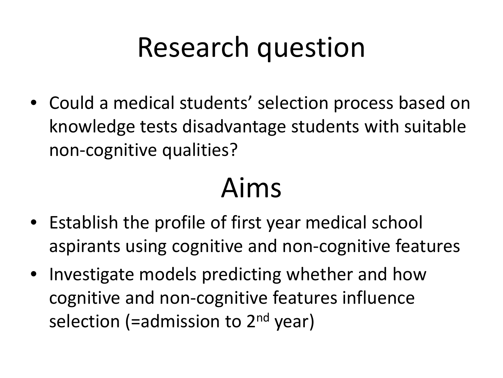## Research question

• Could a medical students' selection process based on knowledge tests disadvantage students with suitable non-cognitive qualities?

### Aims

- Establish the profile of first year medical school aspirants using cognitive and non-cognitive features
- Investigate models predicting whether and how cognitive and non-cognitive features influence selection (=admission to  $2<sup>nd</sup>$  year)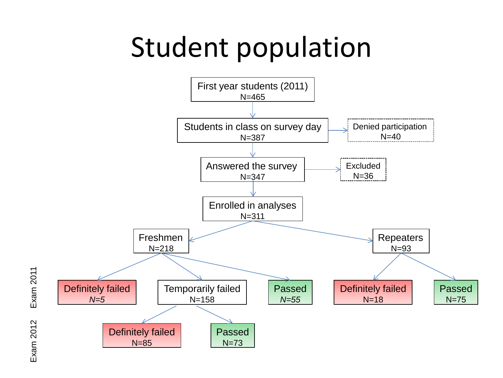### Student population



**Exam 2011** Exam 2011 **Exam 2012** Exam 2012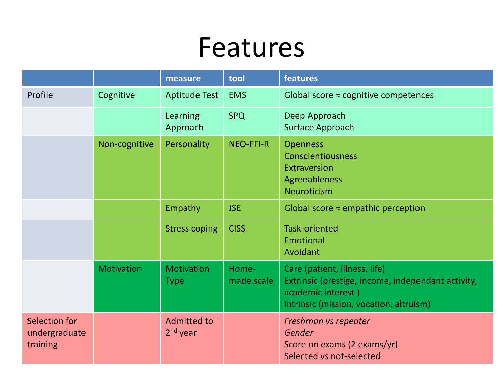### Features

|                                            |                   | measure                          | tool                | features                                                                                                                                             |
|--------------------------------------------|-------------------|----------------------------------|---------------------|------------------------------------------------------------------------------------------------------------------------------------------------------|
| Profile                                    | Cognitive         | <b>Aptitude Test</b>             | <b>EMS</b>          | Global score $\approx$ cognitive competences                                                                                                         |
|                                            |                   | Learning<br>Approach             | <b>SPQ</b>          | Deep Approach<br><b>Surface Approach</b>                                                                                                             |
|                                            | Non-cognitive     | Personality                      | NEO-FFI-R           | <b>Openness</b><br><b>Conscientiousness</b><br>Extraversion<br><b>Agreeableness</b><br><b>Neuroticism</b>                                            |
|                                            |                   | Empathy                          | <b>JSE</b>          | Global score $\approx$ empathic perception                                                                                                           |
|                                            |                   | <b>Stress coping</b>             | <b>CISS</b>         | <b>Task-oriented</b><br>Emotional<br>Avoidant                                                                                                        |
|                                            | <b>Motivation</b> | <b>Motivation</b><br><b>Type</b> | Home-<br>made scale | Care (patient, illness, life)<br>Extrinsic (prestige, income, independant activity,<br>academic interest)<br>Intrinsic (mission, vocation, altruism) |
| Selection for<br>undergraduate<br>training |                   | <b>Admitted to</b><br>$2nd$ year |                     | Freshman vs repeater<br>Gender<br>Score on exams (2 exams/yr)<br>Selected vs not-selected                                                            |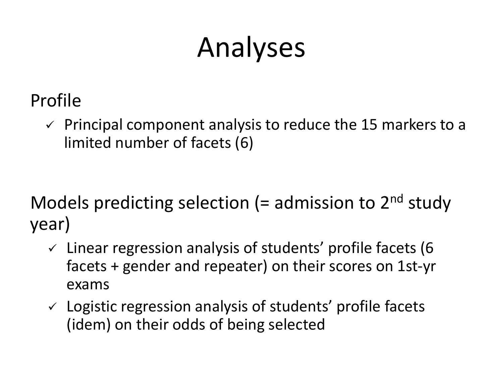## Analyses

- Profile
	- $\checkmark$  Principal component analysis to reduce the 15 markers to a limited number of facets (6)

Models predicting selection (= admission to  $2<sup>nd</sup>$  study year)

- $\checkmark$  Linear regression analysis of students' profile facets (6 facets + gender and repeater) on their scores on 1st-yr exams
- $\checkmark$  Logistic regression analysis of students' profile facets (idem) on their odds of being selected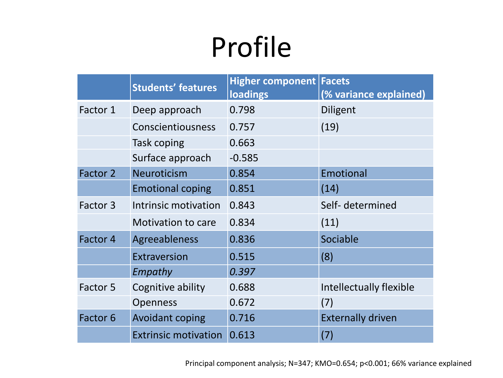## Profile

|          | <b>Students' features</b>   | <b>Higher component Facets</b><br>loadings | (% variance explained)   |
|----------|-----------------------------|--------------------------------------------|--------------------------|
| Factor 1 | Deep approach               | 0.798                                      | Diligent                 |
|          | <b>Conscientiousness</b>    | 0.757                                      | (19)                     |
|          | Task coping                 | 0.663                                      |                          |
|          | Surface approach            | $-0.585$                                   |                          |
| Factor 2 | <b>Neuroticism</b>          | 0.854                                      | Emotional                |
|          | <b>Emotional coping</b>     | 0.851                                      | (14)                     |
| Factor 3 | Intrinsic motivation        | 0.843                                      | Self- determined         |
|          | Motivation to care          | 0.834                                      | (11)                     |
| Factor 4 | Agreeableness               | 0.836                                      | Sociable                 |
|          | Extraversion                | 0.515                                      | (8)                      |
|          | Empathy                     | 0.397                                      |                          |
| Factor 5 | Cognitive ability           | 0.688                                      | Intellectually flexible  |
|          | <b>Openness</b>             | 0.672                                      | (7)                      |
| Factor 6 | <b>Avoidant coping</b>      | 0.716                                      | <b>Externally driven</b> |
|          | <b>Extrinsic motivation</b> | 0.613                                      | (7)                      |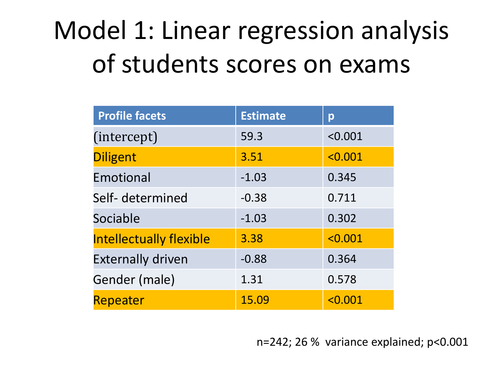### Model 1: Linear regression analysis of students scores on exams

| <b>Profile facets</b>          | <b>Estimate</b> | p       |
|--------------------------------|-----------------|---------|
| (intercept)                    | 59.3            | < 0.001 |
| <b>Diligent</b>                | 3.51            | < 0.001 |
| Emotional                      | $-1.03$         | 0.345   |
| Self- determined               | $-0.38$         | 0.711   |
| Sociable                       | $-1.03$         | 0.302   |
| <b>Intellectually flexible</b> | 3.38            | < 0.001 |
| <b>Externally driven</b>       | $-0.88$         | 0.364   |
| Gender (male)                  | 1.31            | 0.578   |
| Repeater                       | 15.09           | < 0.001 |

n=242; 26 % variance explained; p<0.001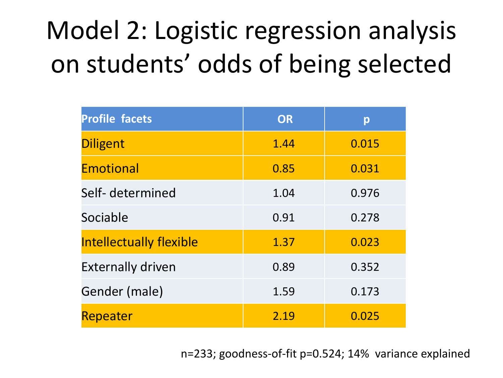## Model 2: Logistic regression analysis on students' odds of being selected

| <b>Profile facets</b>          | <b>OR</b> | p     |
|--------------------------------|-----------|-------|
| <b>Diligent</b>                | 1.44      | 0.015 |
| <b>Emotional</b>               | 0.85      | 0.031 |
| Self- determined               | 1.04      | 0.976 |
| Sociable                       | 0.91      | 0.278 |
| <b>Intellectually flexible</b> | 1.37      | 0.023 |
| <b>Externally driven</b>       | 0.89      | 0.352 |
| Gender (male)                  | 1.59      | 0.173 |
| Repeater                       | 2.19      | 0.025 |

n=233; goodness-of-fit p=0.524; 14% variance explained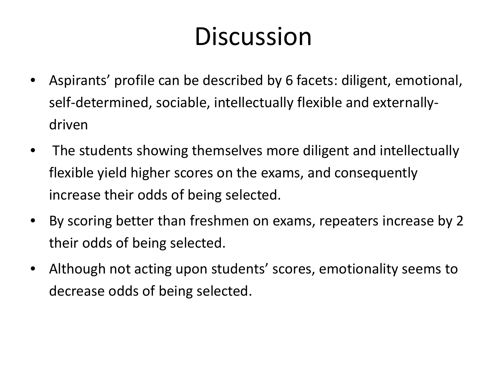### **Discussion**

- Aspirants' profile can be described by 6 facets: diligent, emotional, self-determined, sociable, intellectually flexible and externallydriven
- The students showing themselves more diligent and intellectually flexible yield higher scores on the exams, and consequently increase their odds of being selected.
- By scoring better than freshmen on exams, repeaters increase by 2 their odds of being selected.
- Although not acting upon students' scores, emotionality seems to decrease odds of being selected.